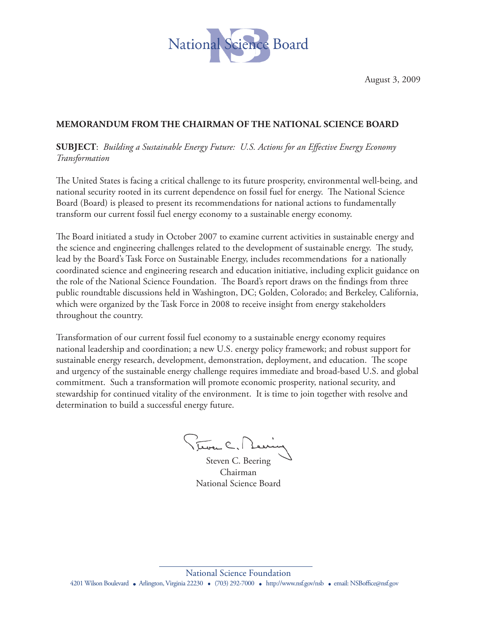

August 3, 2009

## **MEMoRANDUM FRoM THE CHAIRMAN oF THE NATIoNAL SCIENCE BoARD**

**SUBJECT**: *Building a Sustainable Energy Future: U.S. Actions for an Effective Energy Economy Transformation* 

The United States is facing a critical challenge to its future prosperity, environmental well-being, and national security rooted in its current dependence on fossil fuel for energy. The National Science Board (Board) is pleased to present its recommendations for national actions to fundamentally transform our current fossil fuel energy economy to a sustainable energy economy.

The Board initiated a study in October 2007 to examine current activities in sustainable energy and the science and engineering challenges related to the development of sustainable energy. The study, lead by the Board's Task Force on Sustainable Energy, includes recommendations for a nationally coordinated science and engineering research and education initiative, including explicit guidance on the role of the National Science Foundation. The Board's report draws on the findings from three public roundtable discussions held in Washington, DC; Golden, Colorado; and Berkeley, California, which were organized by the Task Force in 2008 to receive insight from energy stakeholders throughout the country.

Transformation of our current fossil fuel economy to a sustainable energy economy requires national leadership and coordination; a new U.S. energy policy framework; and robust support for sustainable energy research, development, demonstration, deployment, and education. The scope and urgency of the sustainable energy challenge requires immediate and broad-based U.S. and global commitment. Such a transformation will promote economic prosperity, national security, and stewardship for continued vitality of the environment. It is time to join together with resolve and determination to build a successful energy future.

Trover C. M

Steven C. Beering Chairman National Science Board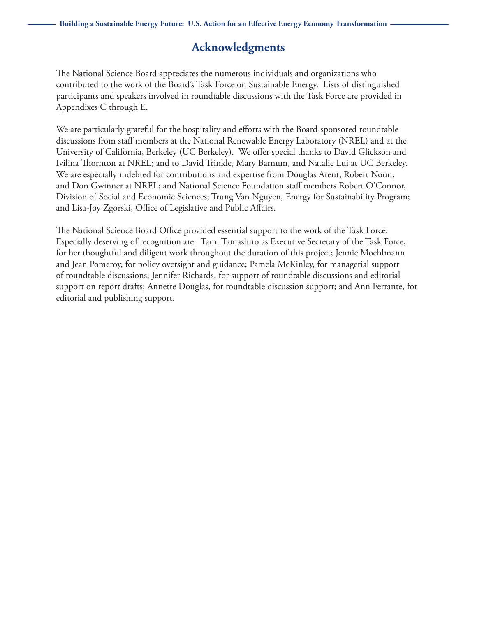## **Acknowledgments**

The National Science Board appreciates the numerous individuals and organizations who contributed to the work of the Board's Task Force on Sustainable Energy. Lists of distinguished participants and speakers involved in roundtable discussions with the Task Force are provided in Appendixes C through E.

We are particularly grateful for the hospitality and efforts with the Board-sponsored roundtable discussions from staff members at the National Renewable Energy Laboratory (NREL) and at the University of California, Berkeley (UC Berkeley). We offer special thanks to David Glickson and Ivilina Thornton at NREL; and to David Trinkle, Mary Barnum, and Natalie Lui at UC Berkeley. We are especially indebted for contributions and expertise from Douglas Arent, Robert Noun, and Don Gwinner at NREL; and National Science Foundation staff members Robert O'Connor, Division of Social and Economic Sciences; Trung Van Nguyen, Energy for Sustainability Program; and Lisa-Joy Zgorski, Office of Legislative and Public Affairs.

The National Science Board Office provided essential support to the work of the Task Force. Especially deserving of recognition are: Tami Tamashiro as Executive Secretary of the Task Force, for her thoughtful and diligent work throughout the duration of this project; Jennie Moehlmann and Jean Pomeroy, for policy oversight and guidance; Pamela McKinley, for managerial support of roundtable discussions; Jennifer Richards, for support of roundtable discussions and editorial support on report drafts; Annette Douglas, for roundtable discussion support; and Ann Ferrante, for editorial and publishing support.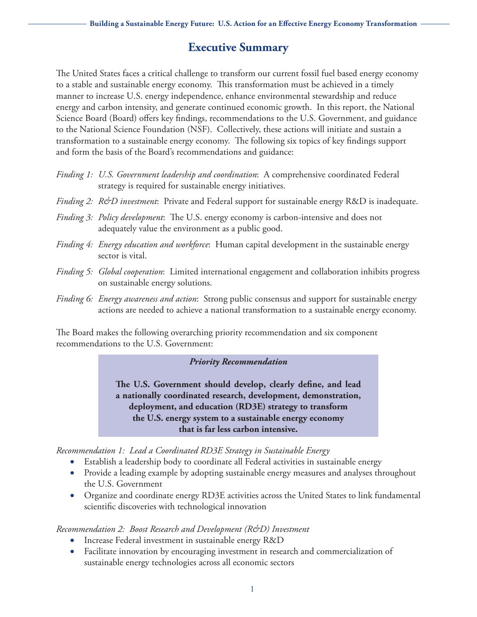# **Executive Summary**

The United States faces a critical challenge to transform our current fossil fuel based energy economy to a stable and sustainable energy economy. This transformation must be achieved in a timely manner to increase U.S. energy independence, enhance environmental stewardship and reduce energy and carbon intensity, and generate continued economic growth. In this report, the National Science Board (Board) offers key findings, recommendations to the U.S. Government, and guidance to the National Science Foundation (NSF). Collectively, these actions will initiate and sustain a transformation to a sustainable energy economy. The following six topics of key findings support and form the basis of the Board's recommendations and guidance:

- *Finding 1: U.S. Government leadership and coordination*: A comprehensive coordinated Federal strategy is required for sustainable energy initiatives.
- *Finding 2: R&D investment*: Private and Federal support for sustainable energy R&D is inadequate.
- *Finding 3: Policy development*: The U.S. energy economy is carbon-intensive and does not adequately value the environment as a public good.
- *Finding 4: Energy education and workforce*: Human capital development in the sustainable energy sector is vital.
- *Finding 5: Global cooperation*: Limited international engagement and collaboration inhibits progress on sustainable energy solutions.
- *Finding 6: Energy awareness and action*: Strong public consensus and support for sustainable energy actions are needed to achieve a national transformation to a sustainable energy economy.

The Board makes the following overarching priority recommendation and six component recommendations to the U.S. Government:

### *Priority Recommendation*

**The U.S. Government should develop, clearly define, and lead a nationally coordinated research, development, demonstration, deployment, and education (RD3E) strategy to transform the U.S. energy system to a sustainable energy economy that is far less carbon intensive.**

*Recommendation 1: Lead a Coordinated RD3E Strategy in Sustainable Energy*

- • Establish a leadership body to coordinate all Federal activities in sustainable energy
- Provide a leading example by adopting sustainable energy measures and analyses throughout the U.S. Government
- • Organize and coordinate energy RD3E activities across the United States to link fundamental scientific discoveries with technological innovation

### *Recommendation 2: Boost Research and Development (R&D) Investment*

- Increase Federal investment in sustainable energy R&D
- Facilitate innovation by encouraging investment in research and commercialization of sustainable energy technologies across all economic sectors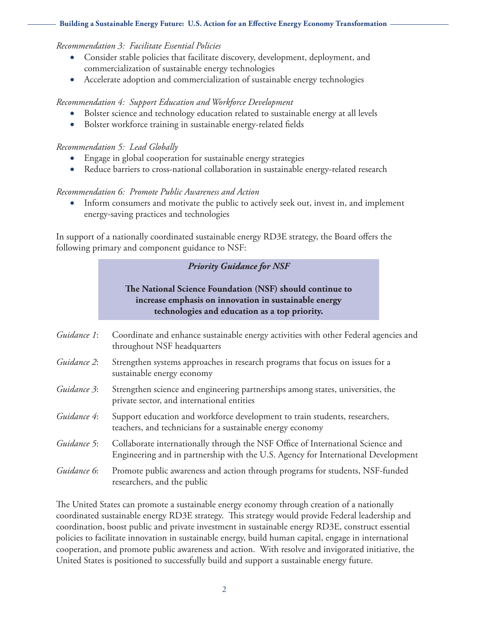#### *Recommendation 3: Facilitate Essential Policies*

- Consider stable policies that facilitate discovery, development, deployment, and commercialization of sustainable energy technologies
- Accelerate adoption and commercialization of sustainable energy technologies

#### *Recommendation 4: Support Education and Workforce Development*

- Bolster science and technology education related to sustainable energy at all levels
- Bolster workforce training in sustainable energy-related fields

#### *Recommendation 5: Lead Globally*

- Engage in global cooperation for sustainable energy strategies
- Reduce barriers to cross-national collaboration in sustainable energy-related research

#### *Recommendation 6: Promote Public Awareness and Action*

• Inform consumers and motivate the public to actively seek out, invest in, and implement energy-saving practices and technologies

In support of a nationally coordinated sustainable energy RD3E strategy, the Board offers the following primary and component guidance to NSF:

## *Priority Guidance for NSF*

## **The National Science Foundation (NSF) should continue to increase emphasis on innovation in sustainable energy technologies and education as a top priority.**

- *Guidance 1*: Coordinate and enhance sustainable energy activities with other Federal agencies and throughout NSF headquarters
- *Guidance 2*: Strengthen systems approaches in research programs that focus on issues for a sustainable energy economy
- *Guidance 3*: Strengthen science and engineering partnerships among states, universities, the private sector, and international entities
- *Guidance 4*: Support education and workforce development to train students, researchers, teachers, and technicians for a sustainable energy economy
- *Guidance 5*: Collaborate internationally through the NSF Office of International Science and Engineering and in partnership with the U.S. Agency for International Development
- *Guidance 6*: Promote public awareness and action through programs for students, NSF-funded researchers, and the public

The United States can promote a sustainable energy economy through creation of a nationally coordinated sustainable energy RD3E strategy. This strategy would provide Federal leadership and coordination, boost public and private investment in sustainable energy RD3E, construct essential policies to facilitate innovation in sustainable energy, build human capital, engage in international cooperation, and promote public awareness and action. With resolve and invigorated initiative, the United States is positioned to successfully build and support a sustainable energy future.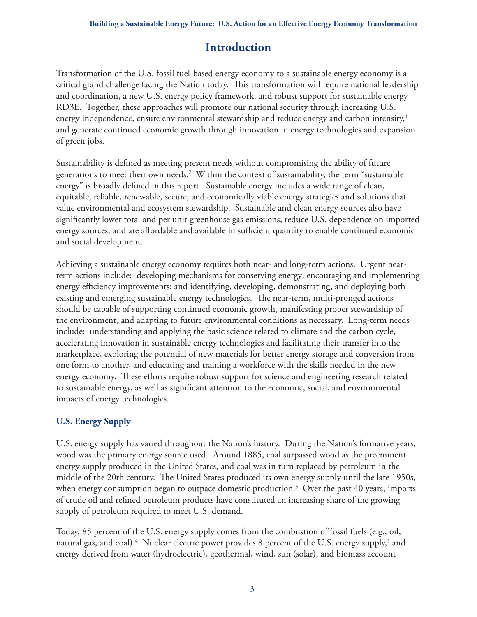# **Introduction**

Transformation of the U.S. fossil fuel-based energy economy to a sustainable energy economy is a critical grand challenge facing the Nation today. This transformation will require national leadership and coordination, a new U.S. energy policy framework, and robust support for sustainable energy RD3E. Together, these approaches will promote our national security through increasing U.S. energy independence, ensure environmental stewardship and reduce energy and carbon intensity,<sup>1</sup> and generate continued economic growth through innovation in energy technologies and expansion of green jobs.

Sustainability is defined as meeting present needs without compromising the ability of future generations to meet their own needs.<sup>2</sup> Within the context of sustainability, the term "sustainable energy" is broadly defined in this report. Sustainable energy includes a wide range of clean, equitable, reliable, renewable, secure, and economically viable energy strategies and solutions that value environmental and ecosystem stewardship. Sustainable and clean energy sources also have significantly lower total and per unit greenhouse gas emissions, reduce U.S. dependence on imported energy sources, and are affordable and available in sufficient quantity to enable continued economic and social development.

Achieving a sustainable energy economy requires both near- and long-term actions. Urgent nearterm actions include: developing mechanisms for conserving energy; encouraging and implementing energy efficiency improvements; and identifying, developing, demonstrating, and deploying both existing and emerging sustainable energy technologies. The near-term, multi-pronged actions should be capable of supporting continued economic growth, manifesting proper stewardship of the environment, and adapting to future environmental conditions as necessary. Long-term needs include: understanding and applying the basic science related to climate and the carbon cycle, accelerating innovation in sustainable energy technologies and facilitating their transfer into the marketplace, exploring the potential of new materials for better energy storage and conversion from one form to another, and educating and training a workforce with the skills needed in the new energy economy. These efforts require robust support for science and engineering research related to sustainable energy, as well as significant attention to the economic, social, and environmental impacts of energy technologies.

## **U.S. Energy Supply**

U.S. energy supply has varied throughout the Nation's history. During the Nation's formative years, wood was the primary energy source used. Around 1885, coal surpassed wood as the preeminent energy supply produced in the United States, and coal was in turn replaced by petroleum in the middle of the 20th century. The United States produced its own energy supply until the late 1950s, when energy consumption began to outpace domestic production.3 Over the past 40 years, imports of crude oil and refined petroleum products have constituted an increasing share of the growing supply of petroleum required to meet U.S. demand.

Today, 85 percent of the U.S. energy supply comes from the combustion of fossil fuels (e.g., oil, natural gas, and coal).<sup>4</sup> Nuclear electric power provides 8 percent of the U.S. energy supply,<sup>5</sup> and energy derived from water (hydroelectric), geothermal, wind, sun (solar), and biomass account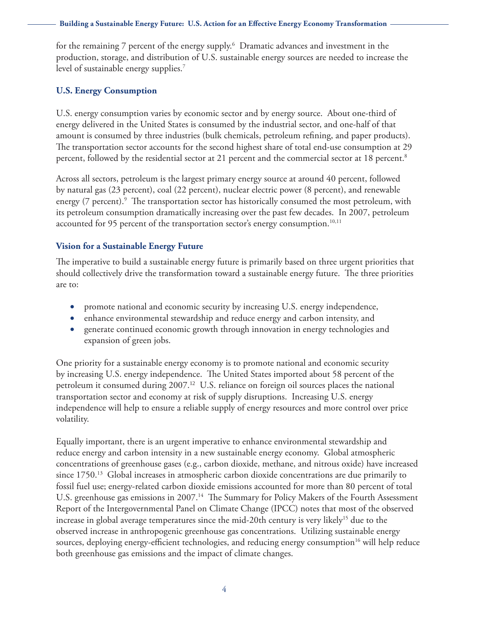for the remaining 7 percent of the energy supply. $\rm^6$  Dramatic advances and investment in the production, storage, and distribution of U.S. sustainable energy sources are needed to increase the level of sustainable energy supplies. $7$ 

#### **U.S. Energy Consumption**

U.S. energy consumption varies by economic sector and by energy source. About one-third of energy delivered in the United States is consumed by the industrial sector, and one-half of that amount is consumed by three industries (bulk chemicals, petroleum refining, and paper products). The transportation sector accounts for the second highest share of total end-use consumption at 29 percent, followed by the residential sector at 21 percent and the commercial sector at 18 percent. $^8$ 

Across all sectors, petroleum is the largest primary energy source at around 40 percent, followed by natural gas (23 percent), coal (22 percent), nuclear electric power (8 percent), and renewable energy (7 percent).<sup>9</sup> The transportation sector has historically consumed the most petroleum, with its petroleum consumption dramatically increasing over the past few decades. In 2007, petroleum accounted for 95 percent of the transportation sector's energy consumption.<sup>10,11</sup>

#### **Vision for a Sustainable Energy Future**

The imperative to build a sustainable energy future is primarily based on three urgent priorities that should collectively drive the transformation toward a sustainable energy future. The three priorities are to:

- promote national and economic security by increasing U.S. energy independence,
- enhance environmental stewardship and reduce energy and carbon intensity, and
- generate continued economic growth through innovation in energy technologies and expansion of green jobs.

One priority for a sustainable energy economy is to promote national and economic security by increasing U.S. energy independence. The United States imported about 58 percent of the petroleum it consumed during 2007.<sup>12</sup> U.S. reliance on foreign oil sources places the national transportation sector and economy at risk of supply disruptions. Increasing U.S. energy independence will help to ensure a reliable supply of energy resources and more control over price volatility.

Equally important, there is an urgent imperative to enhance environmental stewardship and reduce energy and carbon intensity in a new sustainable energy economy. Global atmospheric concentrations of greenhouse gases (e.g., carbon dioxide, methane, and nitrous oxide) have increased since 1750.<sup>13</sup> Global increases in atmospheric carbon dioxide concentrations are due primarily to fossil fuel use; energy-related carbon dioxide emissions accounted for more than 80 percent of total U.S. greenhouse gas emissions in 2007.<sup>14</sup> The Summary for Policy Makers of the Fourth Assessment Report of the Intergovernmental Panel on Climate Change (IPCC) notes that most of the observed increase in global average temperatures since the mid-20th century is very likely<sup>15</sup> due to the observed increase in anthropogenic greenhouse gas concentrations. Utilizing sustainable energy sources, deploying energy-efficient technologies, and reducing energy consumption<sup>16</sup> will help reduce both greenhouse gas emissions and the impact of climate changes.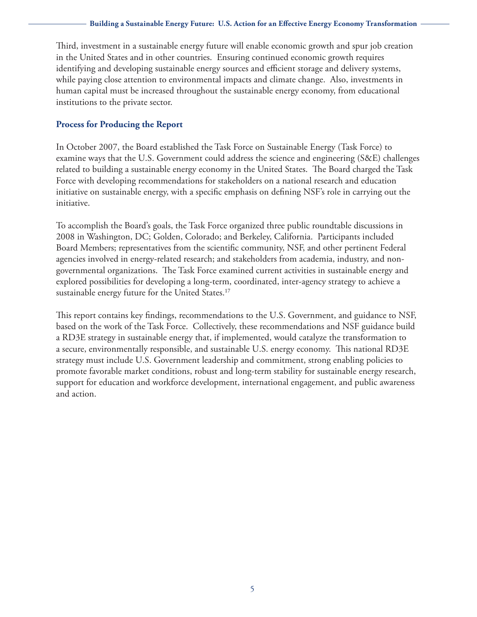Third, investment in a sustainable energy future will enable economic growth and spur job creation in the United States and in other countries. Ensuring continued economic growth requires identifying and developing sustainable energy sources and efficient storage and delivery systems, while paying close attention to environmental impacts and climate change. Also, investments in human capital must be increased throughout the sustainable energy economy, from educational institutions to the private sector.

## **Process for Producing the Report**

In October 2007, the Board established the Task Force on Sustainable Energy (Task Force) to examine ways that the U.S. Government could address the science and engineering (S&E) challenges related to building a sustainable energy economy in the United States. The Board charged the Task Force with developing recommendations for stakeholders on a national research and education initiative on sustainable energy, with a specific emphasis on defining NSF's role in carrying out the initiative.

To accomplish the Board's goals, the Task Force organized three public roundtable discussions in 2008 in Washington, DC; Golden, Colorado; and Berkeley, California. Participants included Board Members; representatives from the scientific community, NSF, and other pertinent Federal agencies involved in energy-related research; and stakeholders from academia, industry, and nongovernmental organizations. The Task Force examined current activities in sustainable energy and explored possibilities for developing a long-term, coordinated, inter-agency strategy to achieve a sustainable energy future for the United States.<sup>17</sup>

This report contains key findings, recommendations to the U.S. Government, and guidance to NSF, based on the work of the Task Force. Collectively, these recommendations and NSF guidance build a RD3E strategy in sustainable energy that, if implemented, would catalyze the transformation to a secure, environmentally responsible, and sustainable U.S. energy economy. This national RD3E strategy must include U.S. Government leadership and commitment, strong enabling policies to promote favorable market conditions, robust and long-term stability for sustainable energy research, support for education and workforce development, international engagement, and public awareness and action.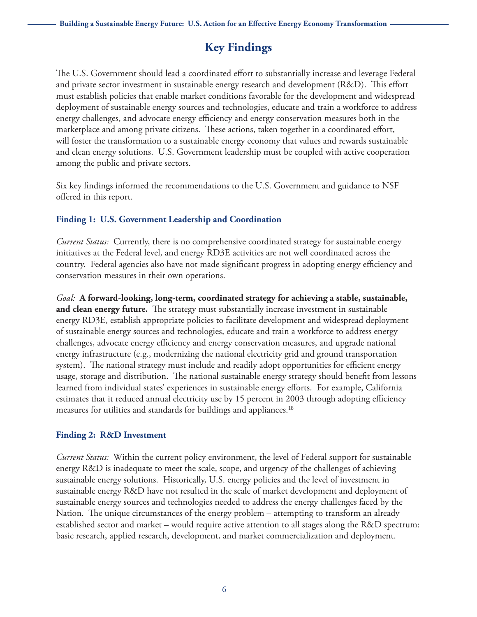# **Key Findings**

The U.S. Government should lead a coordinated effort to substantially increase and leverage Federal and private sector investment in sustainable energy research and development (R&D). This effort must establish policies that enable market conditions favorable for the development and widespread deployment of sustainable energy sources and technologies, educate and train a workforce to address energy challenges, and advocate energy efficiency and energy conservation measures both in the marketplace and among private citizens. These actions, taken together in a coordinated effort, will foster the transformation to a sustainable energy economy that values and rewards sustainable and clean energy solutions. U.S. Government leadership must be coupled with active cooperation among the public and private sectors.

Six key findings informed the recommendations to the U.S. Government and guidance to NSF offered in this report.

#### **Finding 1: U.S. Government Leadership and Coordination**

*Current Status:* Currently, there is no comprehensive coordinated strategy for sustainable energy initiatives at the Federal level, and energy RD3E activities are not well coordinated across the country. Federal agencies also have not made significant progress in adopting energy efficiency and conservation measures in their own operations.

*Goal:* **A forward-looking, long-term, coordinated strategy for achieving a stable, sustainable, and clean energy future.** The strategy must substantially increase investment in sustainable energy RD3E, establish appropriate policies to facilitate development and widespread deployment of sustainable energy sources and technologies, educate and train a workforce to address energy challenges, advocate energy efficiency and energy conservation measures, and upgrade national energy infrastructure (e.g., modernizing the national electricity grid and ground transportation system). The national strategy must include and readily adopt opportunities for efficient energy usage, storage and distribution. The national sustainable energy strategy should benefit from lessons learned from individual states' experiences in sustainable energy efforts. For example, California estimates that it reduced annual electricity use by 15 percent in 2003 through adopting efficiency measures for utilities and standards for buildings and appliances.<sup>18</sup>

### **Finding 2: R&D Investment**

*Current Status:* Within the current policy environment, the level of Federal support for sustainable energy R&D is inadequate to meet the scale, scope, and urgency of the challenges of achieving sustainable energy solutions. Historically, U.S. energy policies and the level of investment in sustainable energy R&D have not resulted in the scale of market development and deployment of sustainable energy sources and technologies needed to address the energy challenges faced by the Nation. The unique circumstances of the energy problem – attempting to transform an already established sector and market – would require active attention to all stages along the R&D spectrum: basic research, applied research, development, and market commercialization and deployment.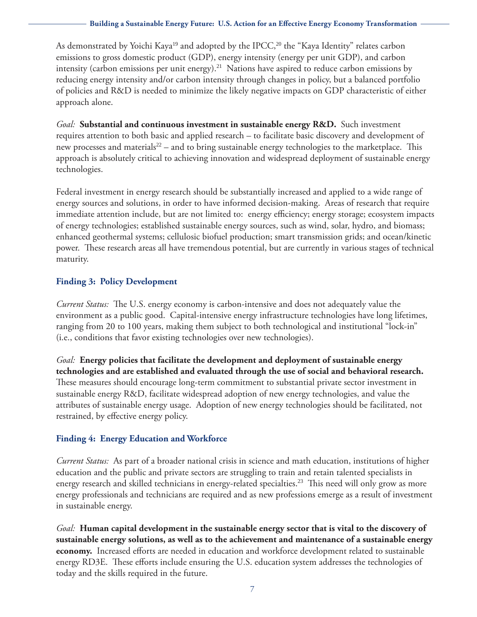As demonstrated by Yoichi Kaya<sup>19</sup> and adopted by the IPCC,<sup>20</sup> the "Kaya Identity" relates carbon emissions to gross domestic product (GDP), energy intensity (energy per unit GDP), and carbon intensity (carbon emissions per unit energy).<sup>21</sup> Nations have aspired to reduce carbon emissions by reducing energy intensity and/or carbon intensity through changes in policy, but a balanced portfolio of policies and R&D is needed to minimize the likely negative impacts on GDP characteristic of either approach alone.

*Goal:* **Substantial and continuous investment in sustainable energy R&D.** Such investment requires attention to both basic and applied research – to facilitate basic discovery and development of new processes and materials<sup>22</sup> – and to bring sustainable energy technologies to the marketplace. This approach is absolutely critical to achieving innovation and widespread deployment of sustainable energy technologies.

Federal investment in energy research should be substantially increased and applied to a wide range of energy sources and solutions, in order to have informed decision-making. Areas of research that require immediate attention include, but are not limited to: energy efficiency; energy storage; ecosystem impacts of energy technologies; established sustainable energy sources, such as wind, solar, hydro, and biomass; enhanced geothermal systems; cellulosic biofuel production; smart transmission grids; and ocean/kinetic power. These research areas all have tremendous potential, but are currently in various stages of technical maturity.

## **Finding 3: Policy Development**

*Current Status:* The U.S. energy economy is carbon-intensive and does not adequately value the environment as a public good. Capital-intensive energy infrastructure technologies have long lifetimes, ranging from 20 to 100 years, making them subject to both technological and institutional "lock-in" (i.e., conditions that favor existing technologies over new technologies).

*Goal:* **Energy policies that facilitate the development and deployment of sustainable energy technologies and are established and evaluated through the use of social and behavioral research.** These measures should encourage long-term commitment to substantial private sector investment in sustainable energy R&D, facilitate widespread adoption of new energy technologies, and value the attributes of sustainable energy usage. Adoption of new energy technologies should be facilitated, not restrained, by effective energy policy.

## **Finding 4: Energy Education and Workforce**

*Current Status:* As part of a broader national crisis in science and math education, institutions of higher education and the public and private sectors are struggling to train and retain talented specialists in energy research and skilled technicians in energy-related specialties.<sup>23</sup> This need will only grow as more energy professionals and technicians are required and as new professions emerge as a result of investment in sustainable energy.

*Goal:* **Human capital development in the sustainable energy sector that is vital to the discovery of sustainable energy solutions, as well as to the achievement and maintenance of a sustainable energy economy.** Increased efforts are needed in education and workforce development related to sustainable energy RD3E. These efforts include ensuring the U.S. education system addresses the technologies of today and the skills required in the future.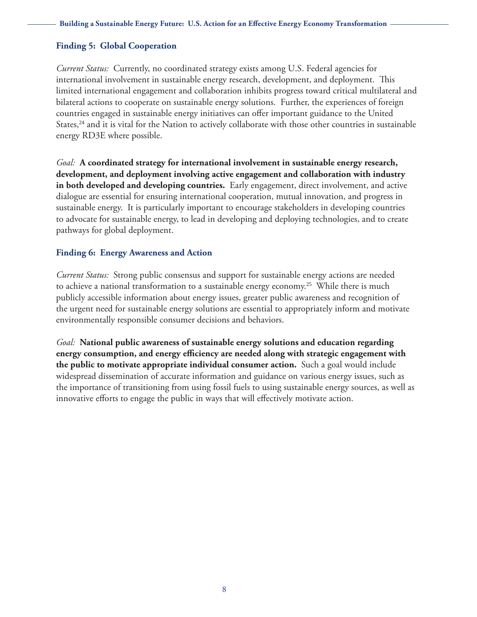#### **Finding 5: Global Cooperation**

*Current Status:* Currently, no coordinated strategy exists among U.S. Federal agencies for international involvement in sustainable energy research, development, and deployment. This limited international engagement and collaboration inhibits progress toward critical multilateral and bilateral actions to cooperate on sustainable energy solutions. Further, the experiences of foreign countries engaged in sustainable energy initiatives can offer important guidance to the United States,<sup>24</sup> and it is vital for the Nation to actively collaborate with those other countries in sustainable energy RD3E where possible.

*Goal:* **A coordinated strategy for international involvement in sustainable energy research, development, and deployment involving active engagement and collaboration with industry in both developed and developing countries.** Early engagement, direct involvement, and active dialogue are essential for ensuring international cooperation, mutual innovation, and progress in sustainable energy. It is particularly important to encourage stakeholders in developing countries to advocate for sustainable energy, to lead in developing and deploying technologies, and to create pathways for global deployment.

#### **Finding 6: Energy Awareness and Action**

*Current Status:* Strong public consensus and support for sustainable energy actions are needed to achieve a national transformation to a sustainable energy economy.<sup>25</sup> While there is much publicly accessible information about energy issues, greater public awareness and recognition of the urgent need for sustainable energy solutions are essential to appropriately inform and motivate environmentally responsible consumer decisions and behaviors.

*Goal:* **National public awareness of sustainable energy solutions and education regarding energy consumption, and energy efficiency are needed along with strategic engagement with the public to motivate appropriate individual consumer action.** Such a goal would include widespread dissemination of accurate information and guidance on various energy issues, such as the importance of transitioning from using fossil fuels to using sustainable energy sources, as well as innovative efforts to engage the public in ways that will effectively motivate action.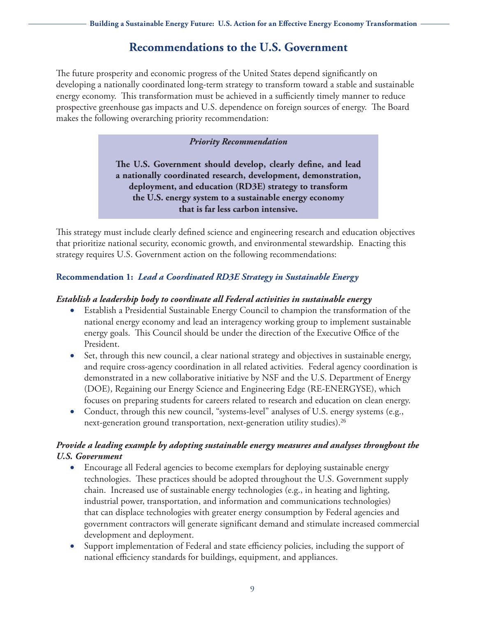## **Recommendations to the U.S. Government**

The future prosperity and economic progress of the United States depend significantly on developing a nationally coordinated long-term strategy to transform toward a stable and sustainable energy economy. This transformation must be achieved in a sufficiently timely manner to reduce prospective greenhouse gas impacts and U.S. dependence on foreign sources of energy. The Board makes the following overarching priority recommendation:

#### *Priority Recommendation*

**The U.S. Government should develop, clearly define, and lead a nationally coordinated research, development, demonstration, deployment, and education (RD3E) strategy to transform the U.S. energy system to a sustainable energy economy that is far less carbon intensive.**

This strategy must include clearly defined science and engineering research and education objectives that prioritize national security, economic growth, and environmental stewardship. Enacting this strategy requires U.S. Government action on the following recommendations:

## **Recommendation 1:** *Lead a Coordinated RD3E Strategy in Sustainable Energy*

#### *Establish a leadership body to coordinate all Federal activities in sustainable energy*

- Establish a Presidential Sustainable Energy Council to champion the transformation of the national energy economy and lead an interagency working group to implement sustainable energy goals. This Council should be under the direction of the Executive Office of the President.
- Set, through this new council, a clear national strategy and objectives in sustainable energy, and require cross-agency coordination in all related activities. Federal agency coordination is demonstrated in a new collaborative initiative by NSF and the U.S. Department of Energy (DOE), Regaining our Energy Science and Engineering Edge (RE-ENERGYSE), which focuses on preparing students for careers related to research and education on clean energy.
- Conduct, through this new council, "systems-level" analyses of U.S. energy systems (e.g., next-generation ground transportation, next-generation utility studies).<sup>26</sup>

## *Provide a leading example by adopting sustainable energy measures and analyses throughout the U.S. Government*

- Encourage all Federal agencies to become exemplars for deploying sustainable energy technologies. These practices should be adopted throughout the U.S. Government supply chain. Increased use of sustainable energy technologies (e.g., in heating and lighting, industrial power, transportation, and information and communications technologies) that can displace technologies with greater energy consumption by Federal agencies and government contractors will generate significant demand and stimulate increased commercial development and deployment.
- Support implementation of Federal and state efficiency policies, including the support of national efficiency standards for buildings, equipment, and appliances.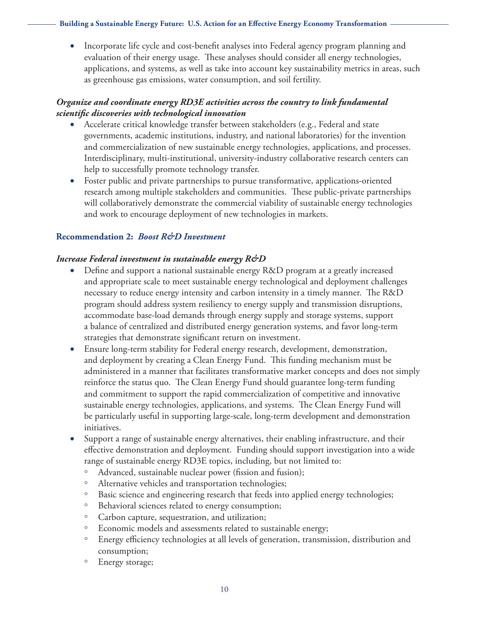• Incorporate life cycle and cost-benefit analyses into Federal agency program planning and evaluation of their energy usage. These analyses should consider all energy technologies, applications, and systems, as well as take into account key sustainability metrics in areas, such as greenhouse gas emissions, water consumption, and soil fertility.

### *Organize and coordinate energy RD3E activities across the country to link fundamental scientific discoveries with technological innovation*

- Accelerate critical knowledge transfer between stakeholders (e.g., Federal and state governments, academic institutions, industry, and national laboratories) for the invention and commercialization of new sustainable energy technologies, applications, and processes. Interdisciplinary, multi-institutional, university-industry collaborative research centers can help to successfully promote technology transfer.
- • Foster public and private partnerships to pursue transformative, applications-oriented research among multiple stakeholders and communities. These public-private partnerships will collaboratively demonstrate the commercial viability of sustainable energy technologies and work to encourage deployment of new technologies in markets.

#### **Recommendation 2:** *Boost R&D Investment*

#### *Increase Federal investment in sustainable energy R&D*

- Define and support a national sustainable energy R&D program at a greatly increased and appropriate scale to meet sustainable energy technological and deployment challenges necessary to reduce energy intensity and carbon intensity in a timely manner. The R&D program should address system resiliency to energy supply and transmission disruptions, accommodate base-load demands through energy supply and storage systems, support a balance of centralized and distributed energy generation systems, and favor long-term strategies that demonstrate significant return on investment.
- Ensure long-term stability for Federal energy research, development, demonstration, and deployment by creating a Clean Energy Fund. This funding mechanism must be administered in a manner that facilitates transformative market concepts and does not simply reinforce the status quo. The Clean Energy Fund should guarantee long-term funding and commitment to support the rapid commercialization of competitive and innovative sustainable energy technologies, applications, and systems. The Clean Energy Fund will be particularly useful in supporting large-scale, long-term development and demonstration initiatives.
- Support a range of sustainable energy alternatives, their enabling infrastructure, and their effective demonstration and deployment. Funding should support investigation into a wide range of sustainable energy RD3E topics, including, but not limited to:
	- Advanced, sustainable nuclear power (fission and fusion);
	- Alternative vehicles and transportation technologies;
	- Basic science and engineering research that feeds into applied energy technologies;
	- Behavioral sciences related to energy consumption;
	- Carbon capture, sequestration, and utilization;
	- Economic models and assessments related to sustainable energy;
	- Energy efficiency technologies at all levels of generation, transmission, distribution and consumption;
	- Energy storage;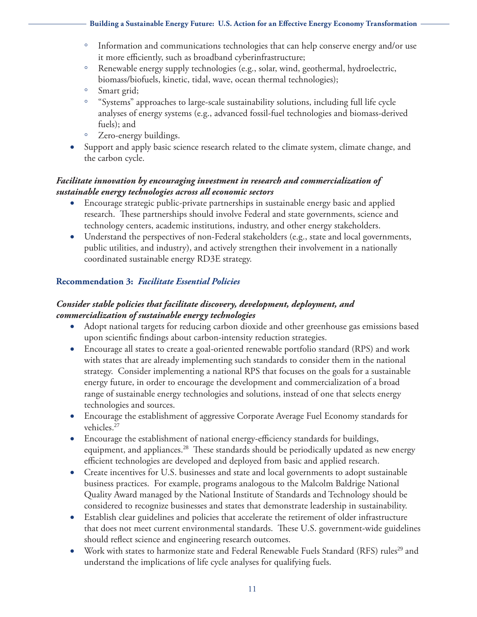- Information and communications technologies that can help conserve energy and/or use it more efficiently, such as broadband cyberinfrastructure;
- Renewable energy supply technologies (e.g., solar, wind, geothermal, hydroelectric, biomass/biofuels, kinetic, tidal, wave, ocean thermal technologies);
- Smart grid;
- "Systems" approaches to large-scale sustainability solutions, including full life cycle analyses of energy systems (e.g., advanced fossil-fuel technologies and biomass-derived fuels); and
- Zero-energy buildings.
- Support and apply basic science research related to the climate system, climate change, and the carbon cycle.

## *Facilitate innovation by encouraging investment in research and commercialization of sustainable energy technologies across all economic sectors*

- Encourage strategic public-private partnerships in sustainable energy basic and applied research. These partnerships should involve Federal and state governments, science and technology centers, academic institutions, industry, and other energy stakeholders.
- Understand the perspectives of non-Federal stakeholders (e.g., state and local governments, public utilities, and industry), and actively strengthen their involvement in a nationally coordinated sustainable energy RD3E strategy.

## **Recommendation 3:** *Facilitate Essential Policies*

## *Consider stable policies that facilitate discovery, development, deployment, and commercialization of sustainable energy technologies*

- Adopt national targets for reducing carbon dioxide and other greenhouse gas emissions based upon scientific findings about carbon-intensity reduction strategies.
- Encourage all states to create a goal-oriented renewable portfolio standard (RPS) and work with states that are already implementing such standards to consider them in the national strategy. Consider implementing a national RPS that focuses on the goals for a sustainable energy future, in order to encourage the development and commercialization of a broad range of sustainable energy technologies and solutions, instead of one that selects energy technologies and sources.
- Encourage the establishment of aggressive Corporate Average Fuel Economy standards for vehicles.<sup>27</sup>
- Encourage the establishment of national energy-efficiency standards for buildings, equipment, and appliances.<sup>28</sup> These standards should be periodically updated as new energy efficient technologies are developed and deployed from basic and applied research.
- Create incentives for U.S. businesses and state and local governments to adopt sustainable business practices. For example, programs analogous to the Malcolm Baldrige National Quality Award managed by the National Institute of Standards and Technology should be considered to recognize businesses and states that demonstrate leadership in sustainability.
- Establish clear guidelines and policies that accelerate the retirement of older infrastructure that does not meet current environmental standards. These U.S. government-wide guidelines should reflect science and engineering research outcomes.
- Work with states to harmonize state and Federal Renewable Fuels Standard (RFS) rules<sup>29</sup> and understand the implications of life cycle analyses for qualifying fuels.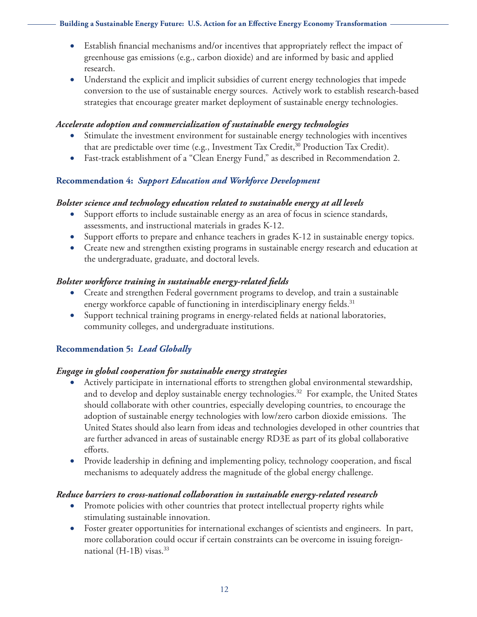- Establish financial mechanisms and/or incentives that appropriately reflect the impact of greenhouse gas emissions (e.g., carbon dioxide) and are informed by basic and applied research.
- Understand the explicit and implicit subsidies of current energy technologies that impede conversion to the use of sustainable energy sources. Actively work to establish research-based strategies that encourage greater market deployment of sustainable energy technologies.

#### *Accelerate adoption and commercialization of sustainable energy technologies*

- Stimulate the investment environment for sustainable energy technologies with incentives that are predictable over time (e.g., Investment Tax Credit,<sup>30</sup> Production Tax Credit).
- Fast-track establishment of a "Clean Energy Fund," as described in Recommendation 2.

## **Recommendation 4:** *Support Education and Workforce Development*

## *Bolster science and technology education related to sustainable energy at all levels*

- Support efforts to include sustainable energy as an area of focus in science standards, assessments, and instructional materials in grades K-12.
- Support efforts to prepare and enhance teachers in grades K-12 in sustainable energy topics.
- Create new and strengthen existing programs in sustainable energy research and education at the undergraduate, graduate, and doctoral levels.

## *Bolster workforce training in sustainable energy-related fields*

- Create and strengthen Federal government programs to develop, and train a sustainable energy workforce capable of functioning in interdisciplinary energy fields.<sup>31</sup>
- Support technical training programs in energy-related fields at national laboratories, community colleges, and undergraduate institutions.

## **Recommendation 5:** *Lead Globally*

### *Engage in global cooperation for sustainable energy strategies*

- Actively participate in international efforts to strengthen global environmental stewardship, and to develop and deploy sustainable energy technologies.<sup>32</sup> For example, the United States should collaborate with other countries, especially developing countries, to encourage the adoption of sustainable energy technologies with low/zero carbon dioxide emissions. The United States should also learn from ideas and technologies developed in other countries that are further advanced in areas of sustainable energy RD3E as part of its global collaborative efforts.
- Provide leadership in defining and implementing policy, technology cooperation, and fiscal mechanisms to adequately address the magnitude of the global energy challenge.

### *Reduce barriers to cross-national collaboration in sustainable energy-related research*

- Promote policies with other countries that protect intellectual property rights while stimulating sustainable innovation.
- Foster greater opportunities for international exchanges of scientists and engineers. In part, more collaboration could occur if certain constraints can be overcome in issuing foreignnational (H-1B) visas.<sup>33</sup>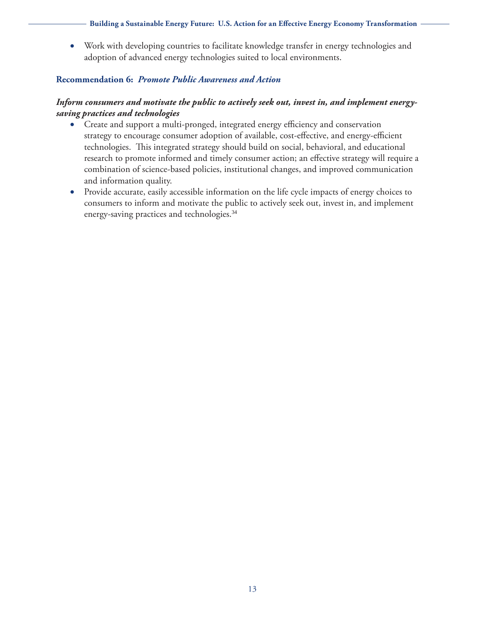• Work with developing countries to facilitate knowledge transfer in energy technologies and adoption of advanced energy technologies suited to local environments.

#### **Recommendation 6:** *Promote Public Awareness and Action*

### *Inform consumers and motivate the public to actively seek out, invest in, and implement energysaving practices and technologies*

- Create and support a multi-pronged, integrated energy efficiency and conservation strategy to encourage consumer adoption of available, cost-effective, and energy-efficient technologies. This integrated strategy should build on social, behavioral, and educational research to promote informed and timely consumer action; an effective strategy will require a combination of science-based policies, institutional changes, and improved communication and information quality.
- Provide accurate, easily accessible information on the life cycle impacts of energy choices to consumers to inform and motivate the public to actively seek out, invest in, and implement energy-saving practices and technologies.34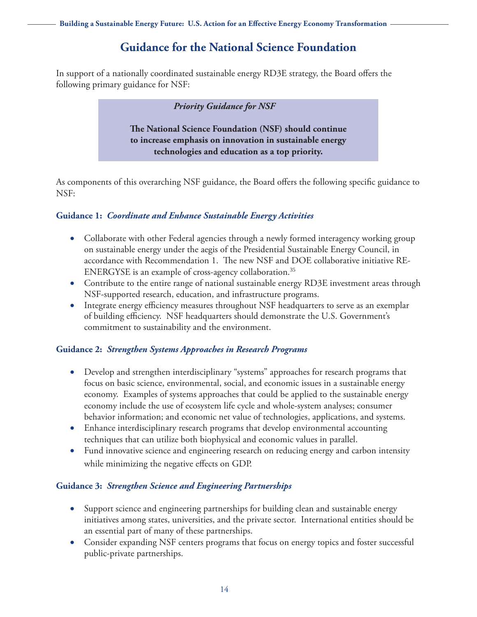# **Guidance for the National Science Foundation**

In support of a nationally coordinated sustainable energy RD3E strategy, the Board offers the following primary guidance for NSF:

#### *Priority Guidance for NSF*

**The National Science Foundation (NSF) should continue to increase emphasis on innovation in sustainable energy technologies and education as a top priority.**

As components of this overarching NSF guidance, the Board offers the following specific guidance to NSF:

### **Guidance 1:** *Coordinate and Enhance Sustainable Energy Activities*

- Collaborate with other Federal agencies through a newly formed interagency working group on sustainable energy under the aegis of the Presidential Sustainable Energy Council, in accordance with Recommendation 1. The new NSF and DOE collaborative initiative RE-ENERGYSE is an example of cross-agency collaboration.<sup>35</sup>
- Contribute to the entire range of national sustainable energy RD3E investment areas through NSF-supported research, education, and infrastructure programs.
- Integrate energy efficiency measures throughout NSF headquarters to serve as an exemplar of building efficiency. NSF headquarters should demonstrate the U.S. Government's commitment to sustainability and the environment.

#### **Guidance 2:** *Strengthen Systems Approaches in Research Programs*

- Develop and strengthen interdisciplinary "systems" approaches for research programs that focus on basic science, environmental, social, and economic issues in a sustainable energy economy. Examples of systems approaches that could be applied to the sustainable energy economy include the use of ecosystem life cycle and whole-system analyses; consumer behavior information; and economic net value of technologies, applications, and systems.
- Enhance interdisciplinary research programs that develop environmental accounting techniques that can utilize both biophysical and economic values in parallel.
- Fund innovative science and engineering research on reducing energy and carbon intensity while minimizing the negative effects on GDP.

### **Guidance 3:** *Strengthen Science and Engineering Partnerships*

- Support science and engineering partnerships for building clean and sustainable energy initiatives among states, universities, and the private sector. International entities should be an essential part of many of these partnerships.
- Consider expanding NSF centers programs that focus on energy topics and foster successful public-private partnerships.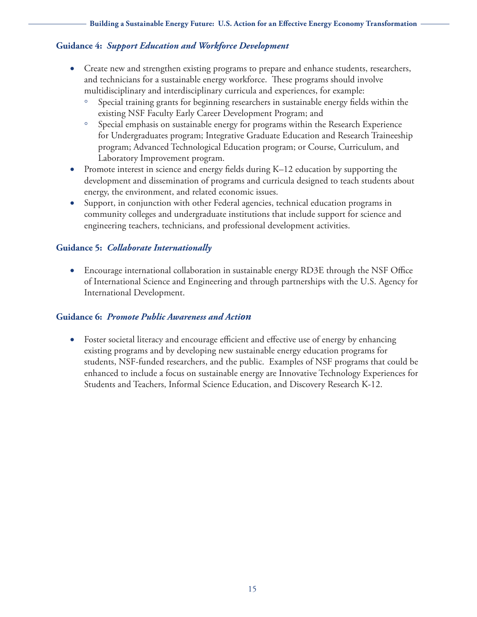### **Guidance 4:** *Support Education and Workforce Development*

- Create new and strengthen existing programs to prepare and enhance students, researchers, and technicians for a sustainable energy workforce. These programs should involve multidisciplinary and interdisciplinary curricula and experiences, for example:
	- Special training grants for beginning researchers in sustainable energy fields within the existing NSF Faculty Early Career Development Program; and
	- Special emphasis on sustainable energy for programs within the Research Experience for Undergraduates program; Integrative Graduate Education and Research Traineeship program; Advanced Technological Education program; or Course, Curriculum, and Laboratory Improvement program.
- Promote interest in science and energy fields during K–12 education by supporting the development and dissemination of programs and curricula designed to teach students about energy, the environment, and related economic issues.
- Support, in conjunction with other Federal agencies, technical education programs in community colleges and undergraduate institutions that include support for science and engineering teachers, technicians, and professional development activities.

## **Guidance 5:** *Collaborate Internationally*

• Encourage international collaboration in sustainable energy RD3E through the NSF Office of International Science and Engineering and through partnerships with the U.S. Agency for International Development.

### **Guidance 6:** *Promote Public Awareness and Action*

• Foster societal literacy and encourage efficient and effective use of energy by enhancing existing programs and by developing new sustainable energy education programs for students, NSF-funded researchers, and the public. Examples of NSF programs that could be enhanced to include a focus on sustainable energy are Innovative Technology Experiences for Students and Teachers, Informal Science Education, and Discovery Research K-12.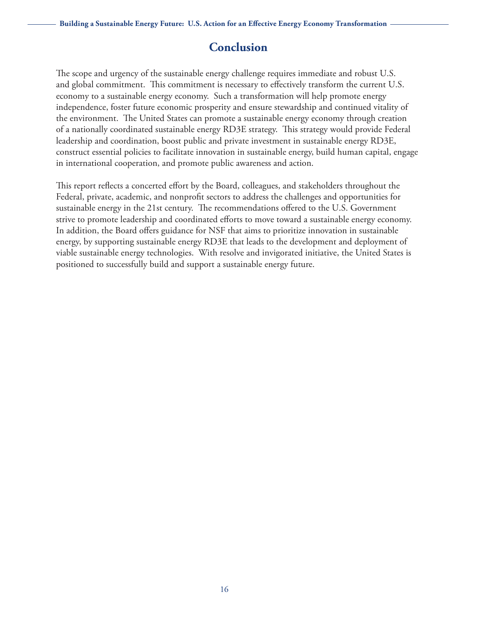## **Conclusion**

The scope and urgency of the sustainable energy challenge requires immediate and robust U.S. and global commitment. This commitment is necessary to effectively transform the current U.S. economy to a sustainable energy economy. Such a transformation will help promote energy independence, foster future economic prosperity and ensure stewardship and continued vitality of the environment. The United States can promote a sustainable energy economy through creation of a nationally coordinated sustainable energy RD3E strategy. This strategy would provide Federal leadership and coordination, boost public and private investment in sustainable energy RD3E, construct essential policies to facilitate innovation in sustainable energy, build human capital, engage in international cooperation, and promote public awareness and action.

This report reflects a concerted effort by the Board, colleagues, and stakeholders throughout the Federal, private, academic, and nonprofit sectors to address the challenges and opportunities for sustainable energy in the 21st century. The recommendations offered to the U.S. Government strive to promote leadership and coordinated efforts to move toward a sustainable energy economy. In addition, the Board offers guidance for NSF that aims to prioritize innovation in sustainable energy, by supporting sustainable energy RD3E that leads to the development and deployment of viable sustainable energy technologies. With resolve and invigorated initiative, the United States is positioned to successfully build and support a sustainable energy future.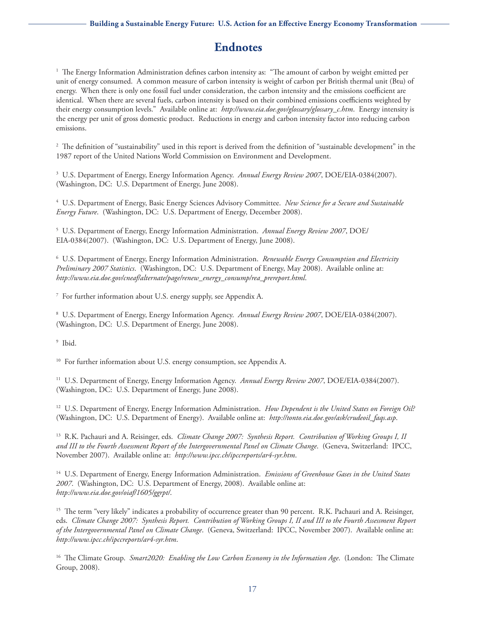## **Endnotes**

1 The Energy Information Administration defines carbon intensity as: "The amount of carbon by weight emitted per unit of energy consumed. A common measure of carbon intensity is weight of carbon per British thermal unit (Btu) of energy. When there is only one fossil fuel under consideration, the carbon intensity and the emissions coefficient are identical. When there are several fuels, carbon intensity is based on their combined emissions coefficients weighted by their energy consumption levels." Available online at: *[http://www.eia.doe.gov/glossary/glossary\\_c.htm](http://www.eia.doe.gov/glossary/glossary_c.htm)*. Energy intensity is the energy per unit of gross domestic product. Reductions in energy and carbon intensity factor into reducing carbon emissions.

2 The definition of "sustainability" used in this report is derived from the definition of "sustainable development" in the 1987 report of the United Nations World Commission on Environment and Development.

3 U.S. Department of Energy, Energy Information Agency. *Annual Energy Review 2007*, DOE/EIA-0384(2007). (Washington, DC: U.S. Department of Energy, June 2008).

4 U.S. Department of Energy, Basic Energy Sciences Advisory Committee. *New Science for a Secure and Sustainable Energy Future*. (Washington, DC: U.S. Department of Energy, December 2008).

5 U.S. Department of Energy, Energy Information Administration. *Annual Energy Review 2007*, DOE/ EIA-0384(2007). (Washington, DC: U.S. Department of Energy, June 2008).

6 U.S. Department of Energy, Energy Information Administration. *Renewable Energy Consumption and Electricity Preliminary 2007 Statistics*. (Washington, DC: U.S. Department of Energy, May 2008). Available online at: *[http://www.eia.doe.gov/cneaf/alternate/page/renew\\_energy\\_consump/rea\\_prereport.html](http://www.eia.doe.gov/cneaf/alternate/page/renew_energy_consump/rea_prereport.html)*.

7 For further information about U.S. energy supply, see Appendix A.

8 U.S. Department of Energy, Energy Information Agency. *Annual Energy Review 2007*, DOE/EIA-0384(2007). (Washington, DC: U.S. Department of Energy, June 2008).

9 Ibid.

<sup>10</sup> For further information about U.S. energy consumption, see Appendix A.

11 U.S. Department of Energy, Energy Information Agency. *Annual Energy Review 2007*, DOE/EIA-0384(2007). (Washington, DC: U.S. Department of Energy, June 2008).

12 U.S. Department of Energy, Energy Information Administration. *How Dependent is the United States on Foreign Oil?*  (Washington, DC: U.S. Department of Energy). Available online at: *[http://tonto.eia.doe.gov/ask/crudeoil\\_faqs.asp](http://tonto.eia.doe.gov/ask/crudeoil_faqs.asp)*.

13 R.K. Pachauri and A. Reisinger, eds. *Climate Change 2007: Synthesis Report. Contribution of Working Groups I, II and III to the Fourth Assessment Report of the Intergovernmental Panel on Climate Change*. (Geneva, Switzerland: IPCC, November 2007). Available online at: *<http://www.ipcc.ch/ipccreports/ar4-syr.htm>*.

14 U.S. Department of Energy, Energy Information Administration. *Emissions of Greenhouse Gases in the United States 2007*. (Washington, DC: U.S. Department of Energy, 2008). Available online at: *<http://www.eia.doe.gov/oiaf/1605/ggrpt/>*.

<sup>15</sup> The term "very likely" indicates a probability of occurrence greater than 90 percent. R.K. Pachauri and A. Reisinger, eds. *Climate Change 2007: Synthesis Report. Contribution of Working Groups I, II and III to the Fourth Assessment Report of the Intergovernmental Panel on Climate Change*. (Geneva, Switzerland: IPCC, November 2007). Available online at: *<http://www.ipcc.ch/ipccreports/ar4-syr.htm>*.

16 The Climate Group. *Smart2020: Enabling the Low Carbon Economy in the Information Age*. (London: The Climate Group, 2008).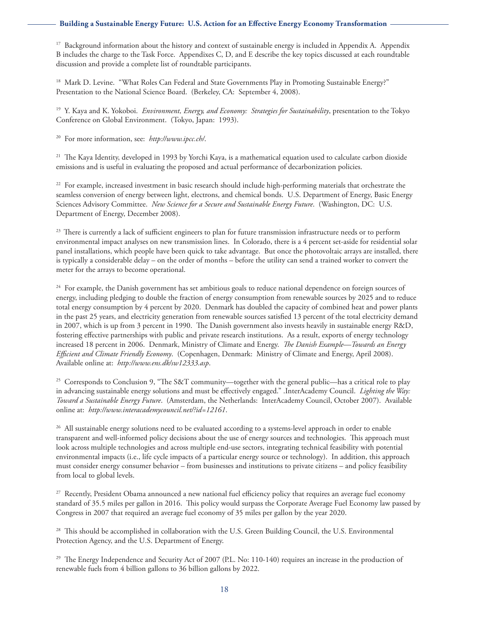$17$  Background information about the history and context of sustainable energy is included in Appendix A. Appendix B includes the charge to the Task Force. Appendixes C, D, and E describe the key topics discussed at each roundtable discussion and provide a complete list of roundtable participants.

<sup>18</sup> Mark D. Levine. "What Roles Can Federal and State Governments Play in Promoting Sustainable Energy?" Presentation to the National Science Board. (Berkeley, CA: September 4, 2008).

19 Y. Kaya and K. Yokoboi. *Environment, Energy, and Economy: Strategies for Sustainability*, presentation to the Tokyo Conference on Global Environment. (Tokyo, Japan: 1993).

20 For more information, see: *<http://www.ipcc.ch/>*.

<sup>21</sup> The Kaya Identity, developed in 1993 by Yorchi Kaya, is a mathematical equation used to calculate carbon dioxide emissions and is useful in evaluating the proposed and actual performance of decarbonization policies.

<sup>22</sup> For example, increased investment in basic research should include high-performing materials that orchestrate the seamless conversion of energy between light, electrons, and chemical bonds. U.S. Department of Energy, Basic Energy Sciences Advisory Committee. *New Science for a Secure and Sustainable Energy Future*. (Washington, DC: U.S. Department of Energy, December 2008).

<sup>23</sup> There is currently a lack of sufficient engineers to plan for future transmission infrastructure needs or to perform environmental impact analyses on new transmission lines. In Colorado, there is a 4 percent set-aside for residential solar panel installations, which people have been quick to take advantage. But once the photovoltaic arrays are installed, there is typically a considerable delay – on the order of months – before the utility can send a trained worker to convert the meter for the arrays to become operational.

<sup>24</sup> For example, the Danish government has set ambitious goals to reduce national dependence on foreign sources of energy, including pledging to double the fraction of energy consumption from renewable sources by 2025 and to reduce total energy consumption by 4 percent by 2020. Denmark has doubled the capacity of combined heat and power plants in the past 25 years, and electricity generation from renewable sources satisfied 13 percent of the total electricity demand in 2007, which is up from 3 percent in 1990. The Danish government also invests heavily in sustainable energy R&D, fostering effective partnerships with public and private research institutions. As a result, exports of energy technology increased 18 percent in 2006. Denmark, Ministry of Climate and Energy. *The Danish Example—Towards an Energy Efficient and Climate Friendly Economy*. (Copenhagen, Denmark: Ministry of Climate and Energy, April 2008). Available online at: *<http://www.ens.dk/sw12333.asp>*.

<sup>25</sup> Corresponds to Conclusion 9, "The S&T community—together with the general public—has a critical role to play in advancing sustainable energy solutions and must be effectively engaged." .InterAcademy Council. *Lighting the Way: Toward a Sustainable Energy Future*. (Amsterdam, the Netherlands: InterAcademy Council, October 2007). Available online at: *<http://www.interacademycouncil.net/?id=12161>*.

<sup>26</sup> All sustainable energy solutions need to be evaluated according to a systems-level approach in order to enable transparent and well-informed policy decisions about the use of energy sources and technologies. This approach must look across multiple technologies and across multiple end-use sectors, integrating technical feasibility with potential environmental impacts (i.e., life cycle impacts of a particular energy source or technology). In addition, this approach must consider energy consumer behavior – from businesses and institutions to private citizens – and policy feasibility from local to global levels.

<sup>27</sup> Recently, President Obama announced a new national fuel efficiency policy that requires an average fuel economy standard of 35.5 miles per gallon in 2016. This policy would surpass the Corporate Average Fuel Economy law passed by Congress in 2007 that required an average fuel economy of 35 miles per gallon by the year 2020.

<sup>28</sup> This should be accomplished in collaboration with the U.S. Green Building Council, the U.S. Environmental Protection Agency, and the U.S. Department of Energy.

<sup>29</sup> The Energy Independence and Security Act of 2007 (P.L. No: 110-140) requires an increase in the production of renewable fuels from 4 billion gallons to 36 billion gallons by 2022.